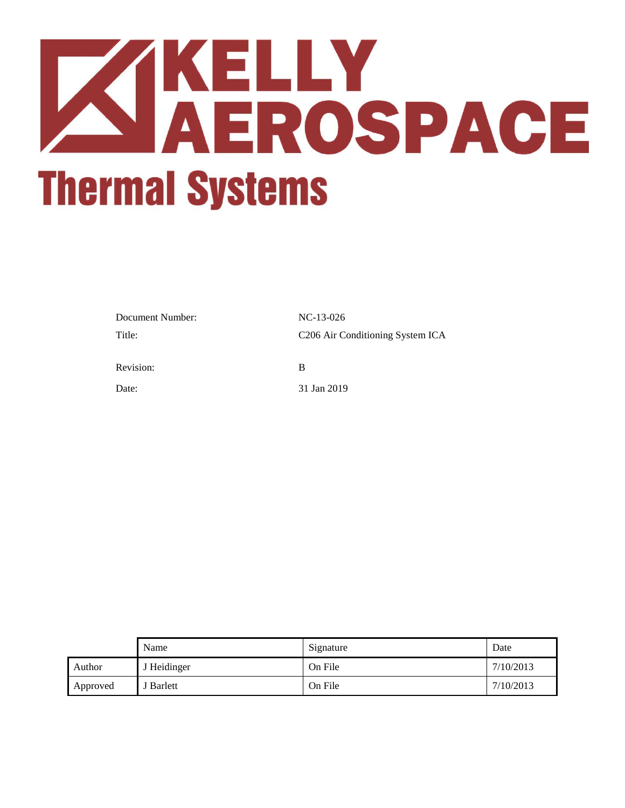

| Document Number: | $NC-13-026$                                  |
|------------------|----------------------------------------------|
| Title:           | C <sub>206</sub> Air Conditioning System ICA |
| Revision:        | B                                            |
| Date:            | 31 Jan 2019                                  |

|          | Name        | Signature | Date      |
|----------|-------------|-----------|-----------|
| Author   | J Heidinger | On File   | 7/10/2013 |
| Approved | J Barlett   | On File   | 7/10/2013 |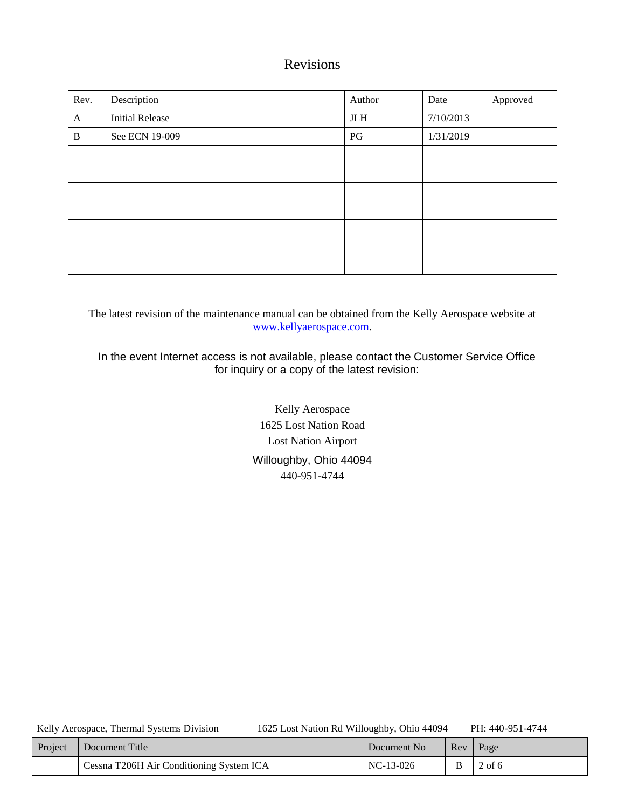# Revisions

| Rev.         | Description            | Author     | Date      | Approved |
|--------------|------------------------|------------|-----------|----------|
| A            | <b>Initial Release</b> | <b>JLH</b> | 7/10/2013 |          |
| $\, {\bf B}$ | See ECN 19-009         | PG         | 1/31/2019 |          |
|              |                        |            |           |          |
|              |                        |            |           |          |
|              |                        |            |           |          |
|              |                        |            |           |          |
|              |                        |            |           |          |
|              |                        |            |           |          |
|              |                        |            |           |          |

The latest revision of the maintenance manual can be obtained from the Kelly Aerospace website at [www.kellyaerospace.com.](http://www.kellyaerospace.com/)

In the event Internet access is not available, please contact the Customer Service Office for inquiry or a copy of the latest revision:

> Kelly Aerospace 1625 Lost Nation Road Lost Nation Airport Willoughby, Ohio 44094 440-951-4744

Kelly Aerospace, Thermal Systems Division 1625 Lost Nation Rd Willoughby, Ohio 44094 PH: 440-951-4744

| Project | Document Title                           | Document No | ReV | Page     |
|---------|------------------------------------------|-------------|-----|----------|
|         | Cessna T206H Air Conditioning System ICA | NC-13-026   |     | $2$ of 6 |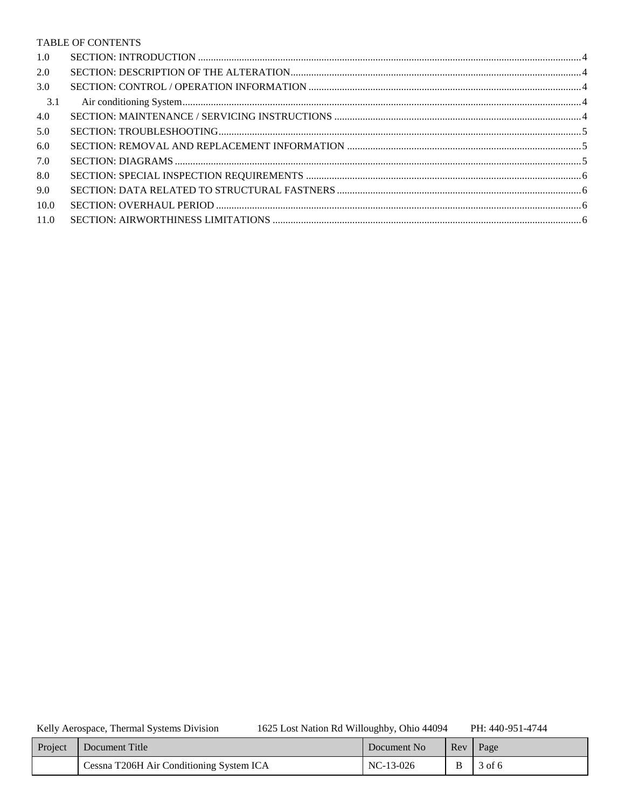### TABLE OF CONTENTS

| 1.0  |  |
|------|--|
| 2.0  |  |
| 3.0  |  |
| 3.1  |  |
| 4.0  |  |
| 5.0  |  |
| 6.0  |  |
| 7.0  |  |
| 8.0  |  |
| 9.0  |  |
| 10.0 |  |
| 11.0 |  |

Kelly Aerospace, Thermal Systems Division

1625 Lost Nation Rd Willoughby, Ohio 44094

PH: 440-951-4744

| Project | Document Title                           | Document No | Rev | Page   |
|---------|------------------------------------------|-------------|-----|--------|
|         | Cessna T206H Air Conditioning System ICA | $NC-13-026$ | B   | 3 of 6 |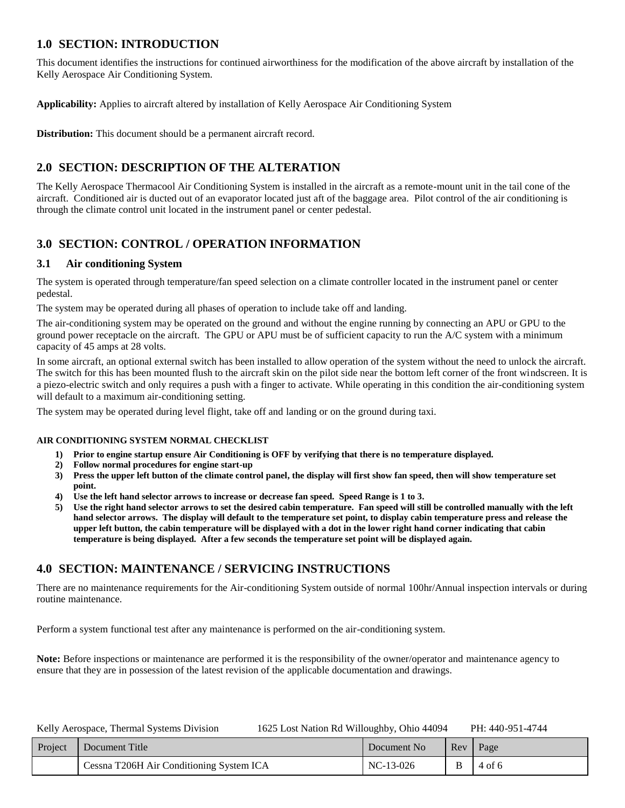## <span id="page-3-0"></span>**1.0 SECTION: INTRODUCTION**

This document identifies the instructions for continued airworthiness for the modification of the above aircraft by installation of the Kelly Aerospace Air Conditioning System.

**Applicability:** Applies to aircraft altered by installation of Kelly Aerospace Air Conditioning System

**Distribution:** This document should be a permanent aircraft record.

# <span id="page-3-1"></span>**2.0 SECTION: DESCRIPTION OF THE ALTERATION**

The Kelly Aerospace Thermacool Air Conditioning System is installed in the aircraft as a remote-mount unit in the tail cone of the aircraft. Conditioned air is ducted out of an evaporator located just aft of the baggage area. Pilot control of the air conditioning is through the climate control unit located in the instrument panel or center pedestal.

# <span id="page-3-2"></span>**3.0 SECTION: CONTROL / OPERATION INFORMATION**

### <span id="page-3-3"></span>**3.1 Air conditioning System**

The system is operated through temperature/fan speed selection on a climate controller located in the instrument panel or center pedestal.

The system may be operated during all phases of operation to include take off and landing.

The air-conditioning system may be operated on the ground and without the engine running by connecting an APU or GPU to the ground power receptacle on the aircraft. The GPU or APU must be of sufficient capacity to run the A/C system with a minimum capacity of 45 amps at 28 volts.

In some aircraft, an optional external switch has been installed to allow operation of the system without the need to unlock the aircraft. The switch for this has been mounted flush to the aircraft skin on the pilot side near the bottom left corner of the front windscreen. It is a piezo-electric switch and only requires a push with a finger to activate. While operating in this condition the air-conditioning system will default to a maximum air-conditioning setting.

The system may be operated during level flight, take off and landing or on the ground during taxi.

### **AIR CONDITIONING SYSTEM NORMAL CHECKLIST**

- **1) Prior to engine startup ensure Air Conditioning is OFF by verifying that there is no temperature displayed.**
- **2) Follow normal procedures for engine start-up**
- **3) Press the upper left button of the climate control panel, the display will first show fan speed, then will show temperature set point.**
- **4) Use the left hand selector arrows to increase or decrease fan speed. Speed Range is 1 to 3.**
- **5) Use the right hand selector arrows to set the desired cabin temperature. Fan speed will still be controlled manually with the left hand selector arrows. The display will default to the temperature set point, to display cabin temperature press and release the upper left button, the cabin temperature will be displayed with a dot in the lower right hand corner indicating that cabin temperature is being displayed. After a few seconds the temperature set point will be displayed again.**

## <span id="page-3-4"></span>**4.0 SECTION: MAINTENANCE / SERVICING INSTRUCTIONS**

There are no maintenance requirements for the Air-conditioning System outside of normal 100hr/Annual inspection intervals or during routine maintenance.

Perform a system functional test after any maintenance is performed on the air-conditioning system.

**Note:** Before inspections or maintenance are performed it is the responsibility of the owner/operator and maintenance agency to ensure that they are in possession of the latest revision of the applicable documentation and drawings.

| Project | Document Title                           | Document No | Rev Page |
|---------|------------------------------------------|-------------|----------|
|         | Cessna T206H Air Conditioning System ICA | $NC-13-026$ | 4 of 6   |

| Kelly Aerospace, Thermal Systems Division | 1625 Lost Nation Rd Willoughby, Ohio 44094 | PH: 440-951-4744 |
|-------------------------------------------|--------------------------------------------|------------------|
|-------------------------------------------|--------------------------------------------|------------------|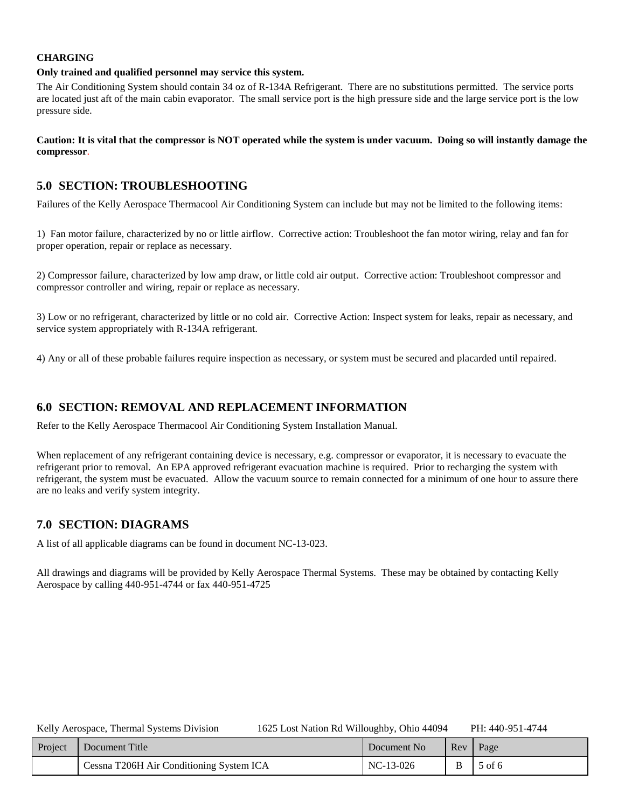### **CHARGING**

#### **Only trained and qualified personnel may service this system.**

The Air Conditioning System should contain 34 oz of R-134A Refrigerant. There are no substitutions permitted. The service ports are located just aft of the main cabin evaporator. The small service port is the high pressure side and the large service port is the low pressure side.

### **Caution: It is vital that the compressor is NOT operated while the system is under vacuum. Doing so will instantly damage the compressor**.

## <span id="page-4-0"></span>**5.0 SECTION: TROUBLESHOOTING**

Failures of the Kelly Aerospace Thermacool Air Conditioning System can include but may not be limited to the following items:

1) Fan motor failure, characterized by no or little airflow. Corrective action: Troubleshoot the fan motor wiring, relay and fan for proper operation, repair or replace as necessary.

2) Compressor failure, characterized by low amp draw, or little cold air output. Corrective action: Troubleshoot compressor and compressor controller and wiring, repair or replace as necessary.

3) Low or no refrigerant, characterized by little or no cold air. Corrective Action: Inspect system for leaks, repair as necessary, and service system appropriately with R-134A refrigerant.

4) Any or all of these probable failures require inspection as necessary, or system must be secured and placarded until repaired.

## <span id="page-4-1"></span>**6.0 SECTION: REMOVAL AND REPLACEMENT INFORMATION**

Refer to the Kelly Aerospace Thermacool Air Conditioning System Installation Manual.

When replacement of any refrigerant containing device is necessary, e.g. compressor or evaporator, it is necessary to evacuate the refrigerant prior to removal. An EPA approved refrigerant evacuation machine is required. Prior to recharging the system with refrigerant, the system must be evacuated. Allow the vacuum source to remain connected for a minimum of one hour to assure there are no leaks and verify system integrity.

## <span id="page-4-2"></span>**7.0 SECTION: DIAGRAMS**

A list of all applicable diagrams can be found in document NC-13-023.

All drawings and diagrams will be provided by Kelly Aerospace Thermal Systems. These may be obtained by contacting Kelly Aerospace by calling 440-951-4744 or fax 440-951-4725

| Project | Document Title                           | Document No | Rev | Page   |
|---------|------------------------------------------|-------------|-----|--------|
|         | Cessna T206H Air Conditioning System ICA | $NC-13-026$ |     | 5 of 6 |

Kelly Aerospace, Thermal Systems Division 1625 Lost Nation Rd Willoughby, Ohio 44094 PH: 440-951-4744